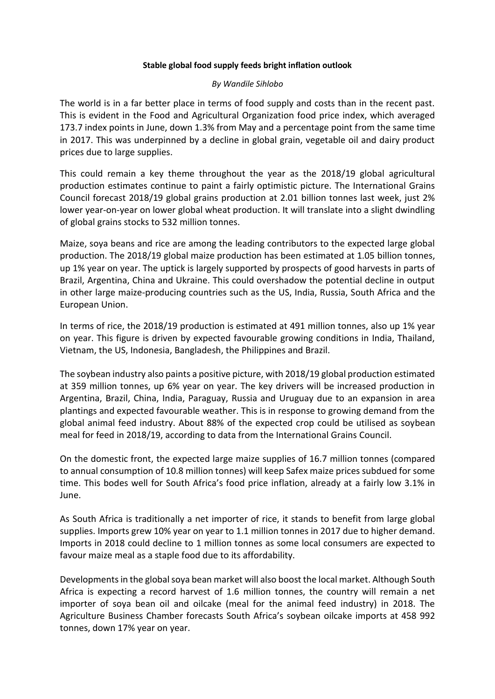## **Stable global food supply feeds bright inflation outlook**

## *By Wandile Sihlobo*

The world is in a far better place in terms of food supply and costs than in the recent past. This is evident in the Food and Agricultural Organization food price index, which averaged 173.7 index points in June, down 1.3% from May and a percentage point from the same time in 2017. This was underpinned by a decline in global grain, vegetable oil and dairy product prices due to large supplies.

This could remain a key theme throughout the year as the 2018/19 global agricultural production estimates continue to paint a fairly optimistic picture. The International Grains Council forecast 2018/19 global grains production at 2.01 billion tonnes last week, just 2% lower year-on-year on lower global wheat production. It will translate into a slight dwindling of global grains stocks to 532 million tonnes.

Maize, soya beans and rice are among the leading contributors to the expected large global production. The 2018/19 global maize production has been estimated at 1.05 billion tonnes, up 1% year on year. The uptick is largely supported by prospects of good harvests in parts of Brazil, Argentina, China and Ukraine. This could overshadow the potential decline in output in other large maize-producing countries such as the US, India, Russia, South Africa and the European Union.

In terms of rice, the 2018/19 production is estimated at 491 million tonnes, also up 1% year on year. This figure is driven by expected favourable growing conditions in India, Thailand, Vietnam, the US, Indonesia, Bangladesh, the Philippines and Brazil.

The soybean industry also paints a positive picture, with 2018/19 global production estimated at 359 million tonnes, up 6% year on year. The key drivers will be increased production in Argentina, Brazil, China, India, Paraguay, Russia and Uruguay due to an expansion in area plantings and expected favourable weather. This is in response to growing demand from the global animal feed industry. About 88% of the expected crop could be utilised as soybean meal for feed in 2018/19, according to data from the International Grains Council.

On the domestic front, the expected large maize supplies of 16.7 million tonnes (compared to annual consumption of 10.8 million tonnes) will keep Safex maize prices subdued for some time. This bodes well for South Africa's food price inflation, already at a fairly low 3.1% in June.

As South Africa is traditionally a net importer of rice, it stands to benefit from large global supplies. Imports grew 10% year on year to 1.1 million tonnes in 2017 due to higher demand. Imports in 2018 could decline to 1 million tonnes as some local consumers are expected to favour maize meal as a staple food due to its affordability.

Developments in the global soya bean market will also boost the local market. Although South Africa is expecting a record harvest of 1.6 million tonnes, the country will remain a net importer of soya bean oil and oilcake (meal for the animal feed industry) in 2018. The Agriculture Business Chamber forecasts South Africa's soybean oilcake imports at 458 992 tonnes, down 17% year on year.